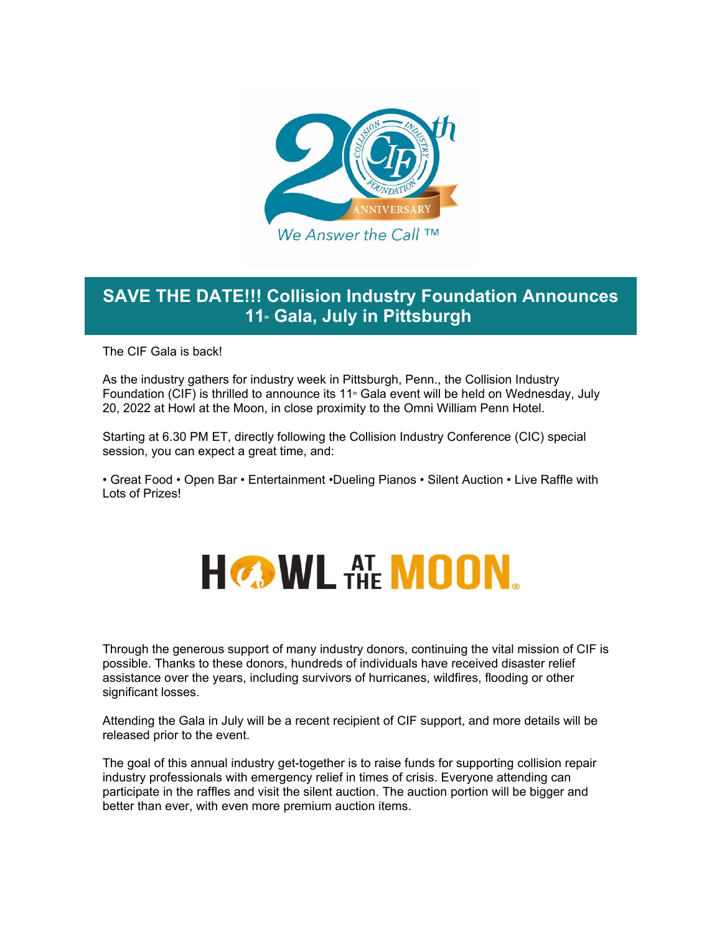

## **SAVE THE DATE!!! Collision Industry Foundation Announces**  11<sup>th</sup> Gala, July in Pittsburgh

The CIF Gala is back!

As the industry gathers for industry week in Pittsburgh, Penn., the Collision Industry Foundation (CIF) is thrilled to announce its 11<sup>th</sup> Gala event will be held on Wednesday, July 20, 2022 at Howl at the Moon, in close proximity to the Omni William Penn Hotel.

Starting at 6.30 PM ET, directly following the Collision Industry Conference (CIC) special session, you can expect a great time, and:

• Great Food • Open Bar • Entertainment •Dueling Pianos • Silent Auction • Live Raffle with Lots of Prizes!



Through the generous support of many industry donors, continuing the vital mission of CIF is possible. Thanks to these donors, hundreds of individuals have received disaster relief assistance over the years, including survivors of hurricanes, wildfires, flooding or other significant losses.

Attending the Gala in July will be a recent recipient of CIF support, and more details will be released prior to the event.

The goal of this annual industry get-together is to raise funds for supporting collision repair industry professionals with emergency relief in times of crisis. Everyone attending can participate in the raffles and visit the silent auction. The auction portion will be bigger and better than ever, with even more premium auction items.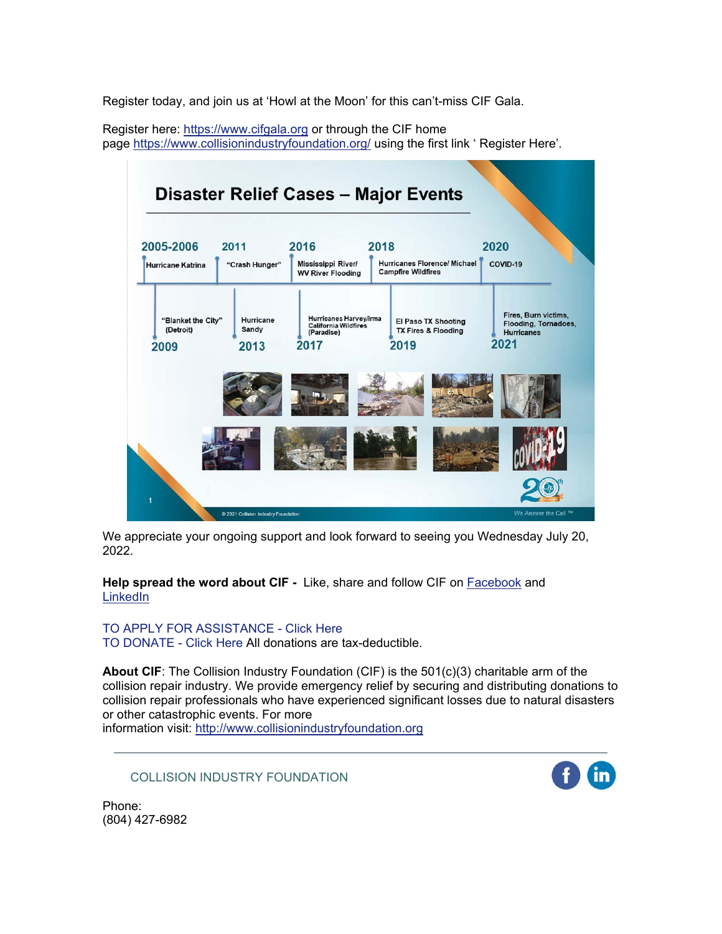Register today, and join us at 'Howl at the Moon' for this can't-miss CIF Gala.

Register here: https://www.cifgala.org or through the CIF home page https://www.collisionindustryfoundation.org/ using the first link ' Register Here'.



We appreciate your ongoing support and look forward to seeing you Wednesday July 20, 2022.

**Help spread the word about CIF -** Like, share and follow CIF on Facebook and **LinkedIn** 

TO APPLY FOR ASSISTANCE - Click Here TO DONATE - Click Here All donations are tax-deductible.

**About CIF:** The Collision Industry Foundation (CIF) is the 501(c)(3) charitable arm of the collision repair industry. We provide emergency relief by securing and distributing donations to collision repair professionals who have experienced significant losses due to natural disasters or other catastrophic events. For more

information visit: http://www.collisionindustryfoundation.org

COLLISION INDUSTRY FOUNDATION

Phone: (804) 427-6982